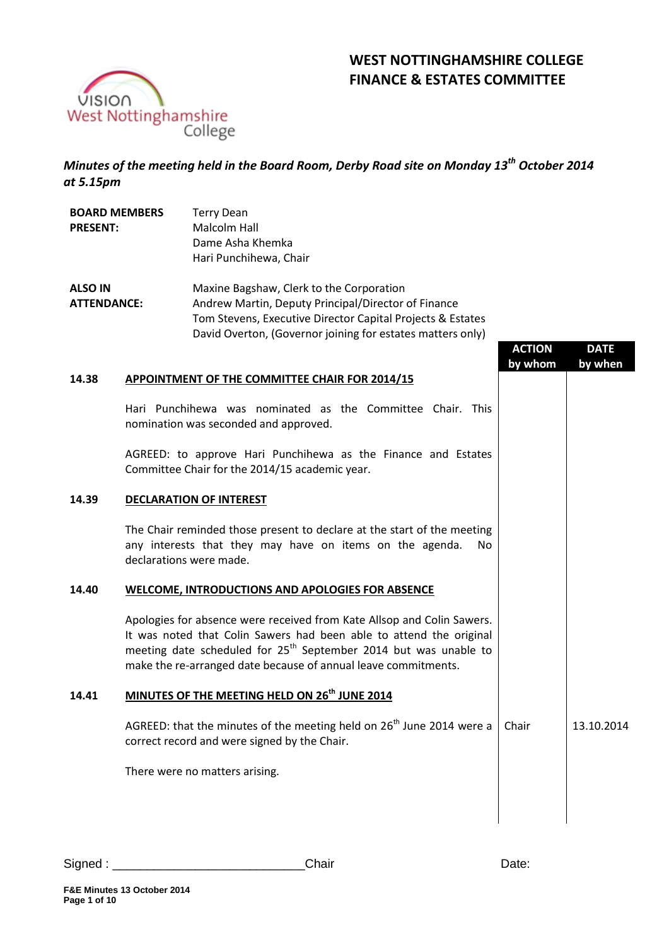



*Minutes of the meeting held in the Board Room, Derby Road site on Monday 13th October 2014 at 5.15pm*

| <b>BOARD MEMBERS</b><br><b>PRESENT:</b> |                         | <b>Terry Dean</b><br>Malcolm Hall<br>Dame Asha Khemka<br>Hari Punchihewa, Chair                                                                                                                                                                                                                 |                          |                        |
|-----------------------------------------|-------------------------|-------------------------------------------------------------------------------------------------------------------------------------------------------------------------------------------------------------------------------------------------------------------------------------------------|--------------------------|------------------------|
| <b>ALSO IN</b><br><b>ATTENDANCE:</b>    |                         | Maxine Bagshaw, Clerk to the Corporation<br>Andrew Martin, Deputy Principal/Director of Finance<br>Tom Stevens, Executive Director Capital Projects & Estates<br>David Overton, (Governor joining for estates matters only)                                                                     | <b>ACTION</b><br>by whom | <b>DATE</b><br>by when |
| 14.38                                   |                         | <b>APPOINTMENT OF THE COMMITTEE CHAIR FOR 2014/15</b>                                                                                                                                                                                                                                           |                          |                        |
|                                         |                         | Hari Punchihewa was nominated as the Committee Chair. This<br>nomination was seconded and approved.                                                                                                                                                                                             |                          |                        |
|                                         |                         | AGREED: to approve Hari Punchihewa as the Finance and Estates<br>Committee Chair for the 2014/15 academic year.                                                                                                                                                                                 |                          |                        |
| 14.39                                   |                         | <b>DECLARATION OF INTEREST</b>                                                                                                                                                                                                                                                                  |                          |                        |
|                                         | declarations were made. | The Chair reminded those present to declare at the start of the meeting<br>any interests that they may have on items on the agenda.<br>No                                                                                                                                                       |                          |                        |
| 14.40                                   |                         | WELCOME, INTRODUCTIONS AND APOLOGIES FOR ABSENCE                                                                                                                                                                                                                                                |                          |                        |
|                                         |                         | Apologies for absence were received from Kate Allsop and Colin Sawers.<br>It was noted that Colin Sawers had been able to attend the original<br>meeting date scheduled for 25 <sup>th</sup> September 2014 but was unable to<br>make the re-arranged date because of annual leave commitments. |                          |                        |
| 14.41                                   |                         | MINUTES OF THE MEETING HELD ON 26 <sup>th</sup> JUNE 2014                                                                                                                                                                                                                                       |                          |                        |
|                                         |                         | AGREED: that the minutes of the meeting held on 26 <sup>th</sup> June 2014 were a<br>correct record and were signed by the Chair.                                                                                                                                                               | Chair                    | 13.10.2014             |
|                                         |                         | There were no matters arising.                                                                                                                                                                                                                                                                  |                          |                        |
|                                         |                         |                                                                                                                                                                                                                                                                                                 |                          |                        |
|                                         |                         |                                                                                                                                                                                                                                                                                                 |                          |                        |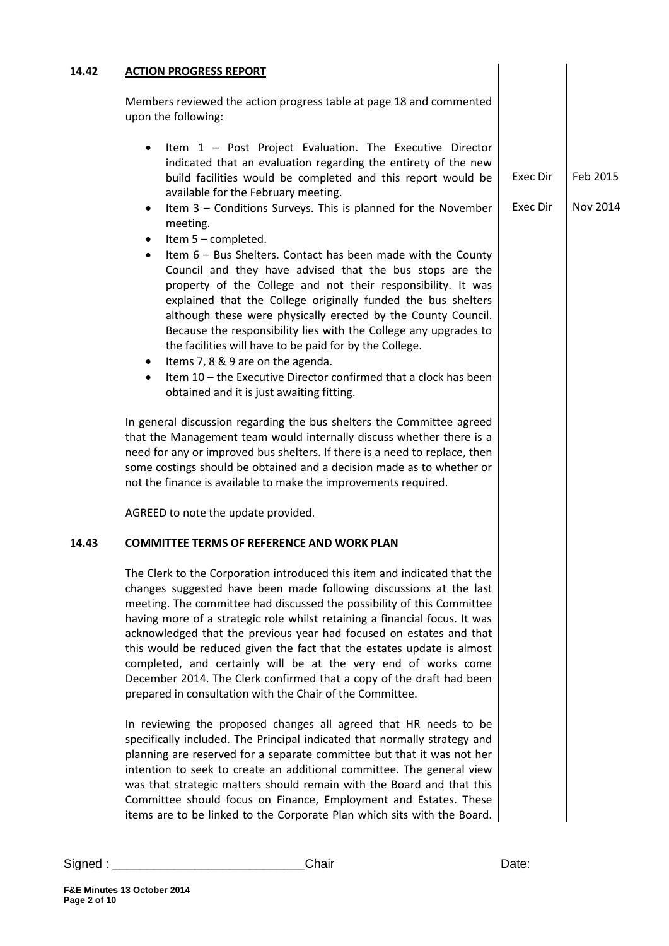|                                                  | <b>ACTION PROGRESS REPORT</b>                                                                                                                                                                                                                                                                                                                                                                                                                                                                                                                                                                                                                                                                                                                                                                        |                             |                             |
|--------------------------------------------------|------------------------------------------------------------------------------------------------------------------------------------------------------------------------------------------------------------------------------------------------------------------------------------------------------------------------------------------------------------------------------------------------------------------------------------------------------------------------------------------------------------------------------------------------------------------------------------------------------------------------------------------------------------------------------------------------------------------------------------------------------------------------------------------------------|-----------------------------|-----------------------------|
|                                                  | Members reviewed the action progress table at page 18 and commented<br>upon the following:                                                                                                                                                                                                                                                                                                                                                                                                                                                                                                                                                                                                                                                                                                           |                             |                             |
| $\bullet$<br>$\bullet$<br>$\bullet$<br>$\bullet$ | Item 1 - Post Project Evaluation. The Executive Director<br>indicated that an evaluation regarding the entirety of the new<br>build facilities would be completed and this report would be<br>available for the February meeting.<br>Item 3 - Conditions Surveys. This is planned for the November<br>meeting.<br>Item 5 - completed.<br>Item $6$ – Bus Shelters. Contact has been made with the County<br>Council and they have advised that the bus stops are the<br>property of the College and not their responsibility. It was<br>explained that the College originally funded the bus shelters<br>although these were physically erected by the County Council.<br>Because the responsibility lies with the College any upgrades to<br>the facilities will have to be paid for by the College. | Exec Dir<br><b>Exec Dir</b> | Feb 2015<br><b>Nov 2014</b> |
| $\bullet$<br>$\bullet$                           | Items 7, 8 & 9 are on the agenda.<br>Item 10 - the Executive Director confirmed that a clock has been<br>obtained and it is just awaiting fitting.                                                                                                                                                                                                                                                                                                                                                                                                                                                                                                                                                                                                                                                   |                             |                             |
|                                                  | In general discussion regarding the bus shelters the Committee agreed<br>that the Management team would internally discuss whether there is a<br>need for any or improved bus shelters. If there is a need to replace, then<br>some costings should be obtained and a decision made as to whether or<br>not the finance is available to make the improvements required.                                                                                                                                                                                                                                                                                                                                                                                                                              |                             |                             |
|                                                  | AGREED to note the update provided.                                                                                                                                                                                                                                                                                                                                                                                                                                                                                                                                                                                                                                                                                                                                                                  |                             |                             |
|                                                  | <b>COMMITTEE TERMS OF REFERENCE AND WORK PLAN</b>                                                                                                                                                                                                                                                                                                                                                                                                                                                                                                                                                                                                                                                                                                                                                    |                             |                             |
|                                                  | The Clerk to the Corporation introduced this item and indicated that the<br>changes suggested have been made following discussions at the last<br>meeting. The committee had discussed the possibility of this Committee<br>having more of a strategic role whilst retaining a financial focus. It was<br>acknowledged that the previous year had focused on estates and that<br>this would be reduced given the fact that the estates update is almost<br>completed, and certainly will be at the very end of works come<br>December 2014. The Clerk confirmed that a copy of the draft had been<br>prepared in consultation with the Chair of the Committee.                                                                                                                                       |                             |                             |
|                                                  | In reviewing the proposed changes all agreed that HR needs to be<br>specifically included. The Principal indicated that normally strategy and<br>planning are reserved for a separate committee but that it was not her<br>intention to seek to create an additional committee. The general view<br>was that strategic matters should remain with the Board and that this<br>Committee should focus on Finance, Employment and Estates. These<br>items are to be linked to the Corporate Plan which sits with the Board.                                                                                                                                                                                                                                                                             |                             |                             |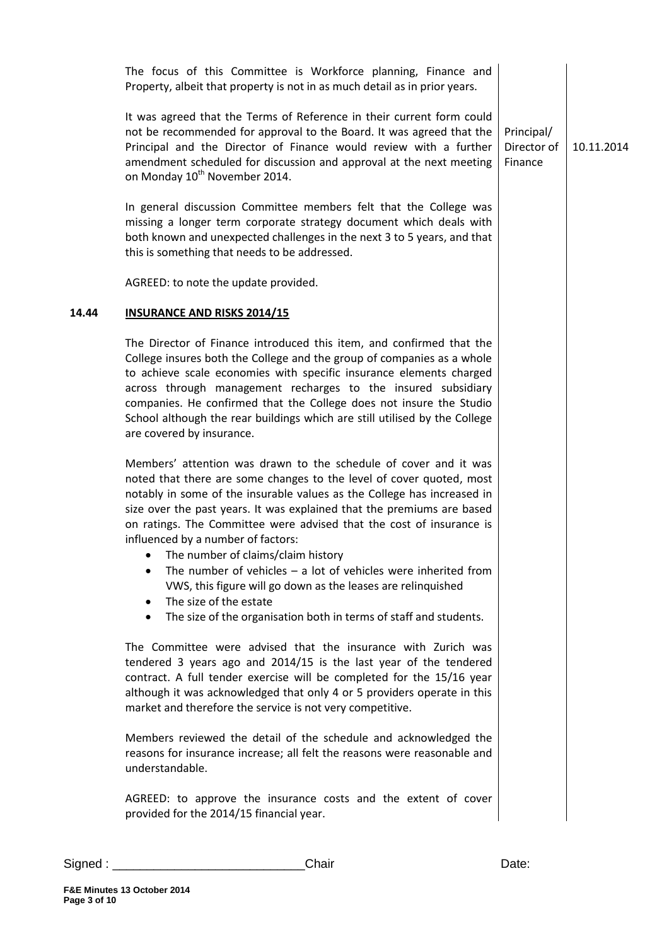|       | The focus of this Committee is Workforce planning, Finance and<br>Property, albeit that property is not in as much detail as in prior years.                                                                                                                                                                                                                                                                                                                                                                                                                                                                                                                                                                                     |                                      |            |
|-------|----------------------------------------------------------------------------------------------------------------------------------------------------------------------------------------------------------------------------------------------------------------------------------------------------------------------------------------------------------------------------------------------------------------------------------------------------------------------------------------------------------------------------------------------------------------------------------------------------------------------------------------------------------------------------------------------------------------------------------|--------------------------------------|------------|
|       | It was agreed that the Terms of Reference in their current form could<br>not be recommended for approval to the Board. It was agreed that the<br>Principal and the Director of Finance would review with a further<br>amendment scheduled for discussion and approval at the next meeting<br>on Monday 10 <sup>th</sup> November 2014.                                                                                                                                                                                                                                                                                                                                                                                           | Principal/<br>Director of<br>Finance | 10.11.2014 |
|       | In general discussion Committee members felt that the College was<br>missing a longer term corporate strategy document which deals with<br>both known and unexpected challenges in the next 3 to 5 years, and that<br>this is something that needs to be addressed.                                                                                                                                                                                                                                                                                                                                                                                                                                                              |                                      |            |
|       | AGREED: to note the update provided.                                                                                                                                                                                                                                                                                                                                                                                                                                                                                                                                                                                                                                                                                             |                                      |            |
| 14.44 | <b>INSURANCE AND RISKS 2014/15</b>                                                                                                                                                                                                                                                                                                                                                                                                                                                                                                                                                                                                                                                                                               |                                      |            |
|       | The Director of Finance introduced this item, and confirmed that the<br>College insures both the College and the group of companies as a whole<br>to achieve scale economies with specific insurance elements charged<br>across through management recharges to the insured subsidiary<br>companies. He confirmed that the College does not insure the Studio<br>School although the rear buildings which are still utilised by the College<br>are covered by insurance.                                                                                                                                                                                                                                                         |                                      |            |
|       | Members' attention was drawn to the schedule of cover and it was<br>noted that there are some changes to the level of cover quoted, most<br>notably in some of the insurable values as the College has increased in<br>size over the past years. It was explained that the premiums are based<br>on ratings. The Committee were advised that the cost of insurance is<br>influenced by a number of factors:<br>The number of claims/claim history<br>$\bullet$<br>The number of vehicles $-$ a lot of vehicles were inherited from<br>٠<br>VWS, this figure will go down as the leases are relinquished<br>The size of the estate<br>$\bullet$<br>The size of the organisation both in terms of staff and students.<br>$\bullet$ |                                      |            |
|       | The Committee were advised that the insurance with Zurich was<br>tendered 3 years ago and 2014/15 is the last year of the tendered<br>contract. A full tender exercise will be completed for the 15/16 year<br>although it was acknowledged that only 4 or 5 providers operate in this<br>market and therefore the service is not very competitive.                                                                                                                                                                                                                                                                                                                                                                              |                                      |            |
|       | Members reviewed the detail of the schedule and acknowledged the<br>reasons for insurance increase; all felt the reasons were reasonable and<br>understandable.                                                                                                                                                                                                                                                                                                                                                                                                                                                                                                                                                                  |                                      |            |
|       | AGREED: to approve the insurance costs and the extent of cover<br>provided for the 2014/15 financial year.                                                                                                                                                                                                                                                                                                                                                                                                                                                                                                                                                                                                                       |                                      |            |
|       |                                                                                                                                                                                                                                                                                                                                                                                                                                                                                                                                                                                                                                                                                                                                  |                                      |            |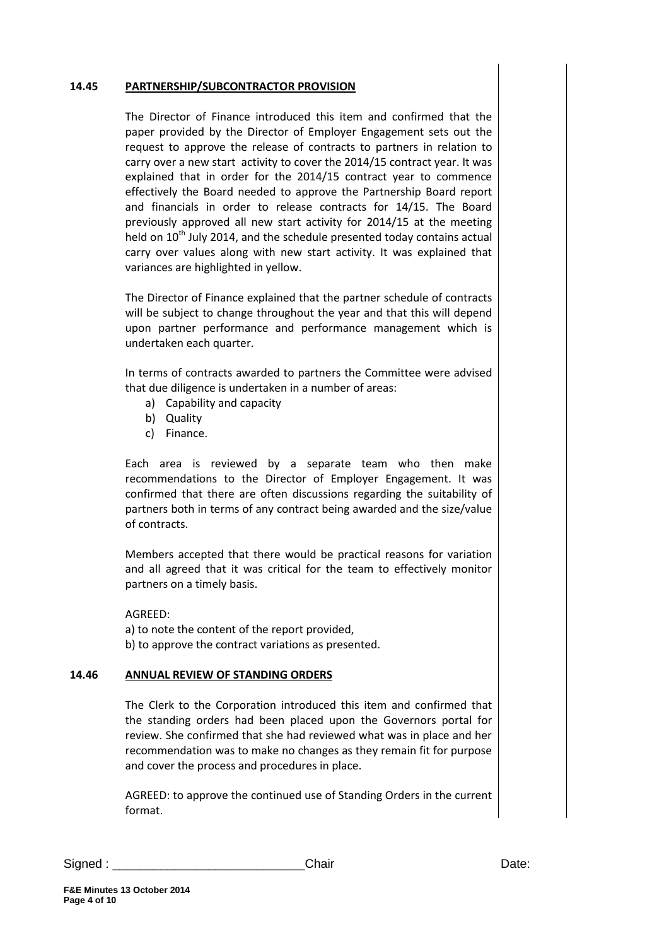## **14.45 PARTNERSHIP/SUBCONTRACTOR PROVISION**

The Director of Finance introduced this item and confirmed that the paper provided by the Director of Employer Engagement sets out the request to approve the release of contracts to partners in relation to carry over a new start activity to cover the 2014/15 contract year. It was explained that in order for the 2014/15 contract year to commence effectively the Board needed to approve the Partnership Board report and financials in order to release contracts for 14/15. The Board previously approved all new start activity for 2014/15 at the meeting held on  $10<sup>th</sup>$  July 2014, and the schedule presented today contains actual carry over values along with new start activity. It was explained that variances are highlighted in yellow.

The Director of Finance explained that the partner schedule of contracts will be subject to change throughout the year and that this will depend upon partner performance and performance management which is undertaken each quarter.

In terms of contracts awarded to partners the Committee were advised that due diligence is undertaken in a number of areas:

- a) Capability and capacity
- b) Quality
- c) Finance.

Each area is reviewed by a separate team who then make recommendations to the Director of Employer Engagement. It was confirmed that there are often discussions regarding the suitability of partners both in terms of any contract being awarded and the size/value of contracts.

Members accepted that there would be practical reasons for variation and all agreed that it was critical for the team to effectively monitor partners on a timely basis.

AGREED:

a) to note the content of the report provided, b) to approve the contract variations as presented.

## **14.46 ANNUAL REVIEW OF STANDING ORDERS**

The Clerk to the Corporation introduced this item and confirmed that the standing orders had been placed upon the Governors portal for review. She confirmed that she had reviewed what was in place and her recommendation was to make no changes as they remain fit for purpose and cover the process and procedures in place.

AGREED: to approve the continued use of Standing Orders in the current format.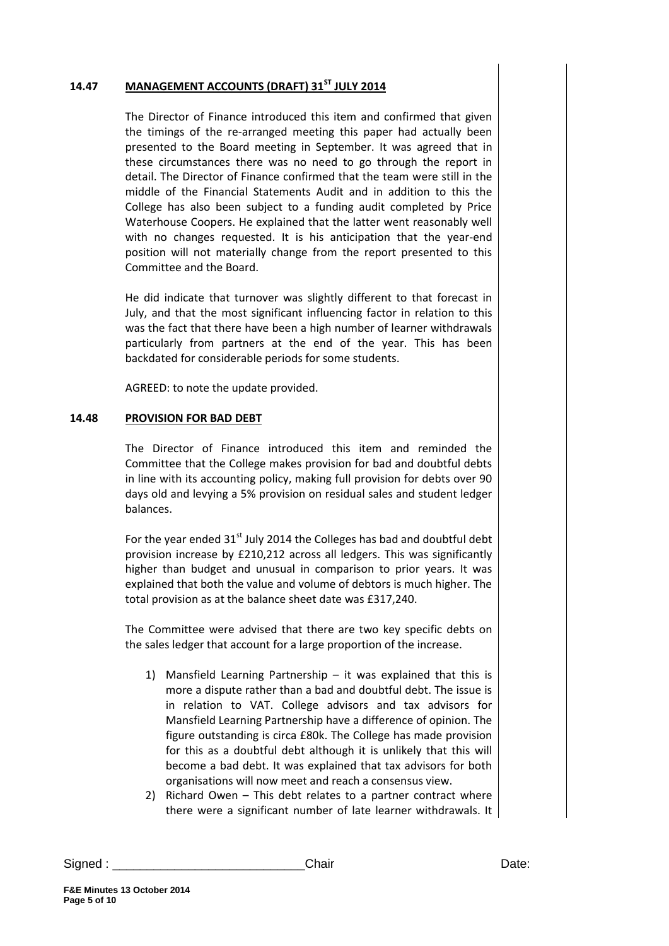## **14.47 MANAGEMENT ACCOUNTS (DRAFT) 31ST JULY 2014**

The Director of Finance introduced this item and confirmed that given the timings of the re-arranged meeting this paper had actually been presented to the Board meeting in September. It was agreed that in these circumstances there was no need to go through the report in detail. The Director of Finance confirmed that the team were still in the middle of the Financial Statements Audit and in addition to this the College has also been subject to a funding audit completed by Price Waterhouse Coopers. He explained that the latter went reasonably well with no changes requested. It is his anticipation that the year-end position will not materially change from the report presented to this Committee and the Board.

He did indicate that turnover was slightly different to that forecast in July, and that the most significant influencing factor in relation to this was the fact that there have been a high number of learner withdrawals particularly from partners at the end of the year. This has been backdated for considerable periods for some students.

AGREED: to note the update provided.

## **14.48 PROVISION FOR BAD DEBT**

The Director of Finance introduced this item and reminded the Committee that the College makes provision for bad and doubtful debts in line with its accounting policy, making full provision for debts over 90 days old and levying a 5% provision on residual sales and student ledger balances.

For the year ended  $31<sup>st</sup>$  July 2014 the Colleges has bad and doubtful debt provision increase by £210,212 across all ledgers. This was significantly higher than budget and unusual in comparison to prior years. It was explained that both the value and volume of debtors is much higher. The total provision as at the balance sheet date was £317,240.

The Committee were advised that there are two key specific debts on the sales ledger that account for a large proportion of the increase.

- 1) Mansfield Learning Partnership it was explained that this is more a dispute rather than a bad and doubtful debt. The issue is in relation to VAT. College advisors and tax advisors for Mansfield Learning Partnership have a difference of opinion. The figure outstanding is circa £80k. The College has made provision for this as a doubtful debt although it is unlikely that this will become a bad debt. It was explained that tax advisors for both organisations will now meet and reach a consensus view.
- 2) Richard Owen This debt relates to a partner contract where there were a significant number of late learner withdrawals. It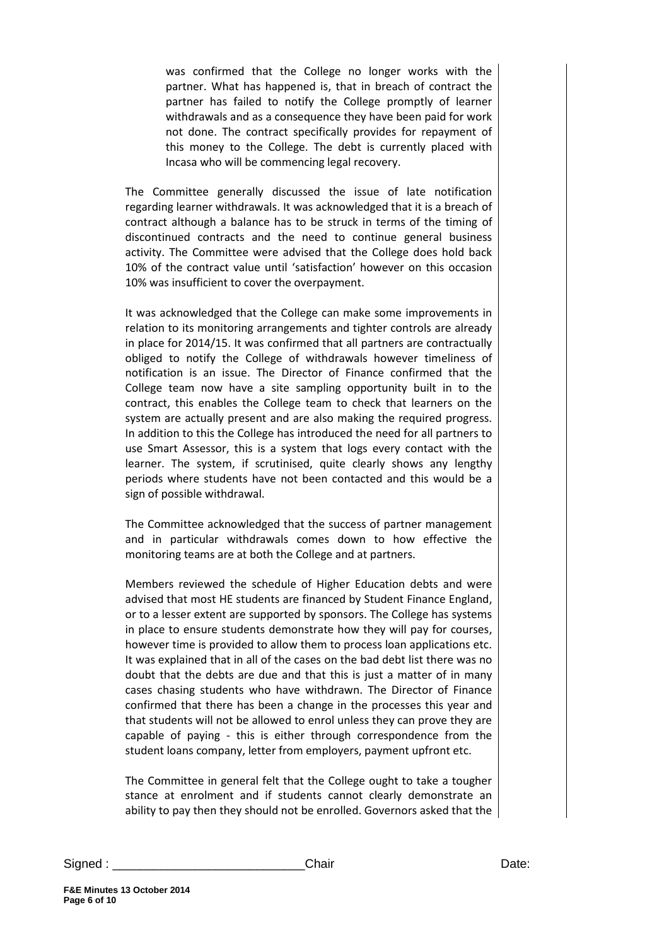was confirmed that the College no longer works with the partner. What has happened is, that in breach of contract the partner has failed to notify the College promptly of learner withdrawals and as a consequence they have been paid for work not done. The contract specifically provides for repayment of this money to the College. The debt is currently placed with Incasa who will be commencing legal recovery.

The Committee generally discussed the issue of late notification regarding learner withdrawals. It was acknowledged that it is a breach of contract although a balance has to be struck in terms of the timing of discontinued contracts and the need to continue general business activity. The Committee were advised that the College does hold back 10% of the contract value until 'satisfaction' however on this occasion 10% was insufficient to cover the overpayment.

It was acknowledged that the College can make some improvements in relation to its monitoring arrangements and tighter controls are already in place for 2014/15. It was confirmed that all partners are contractually obliged to notify the College of withdrawals however timeliness of notification is an issue. The Director of Finance confirmed that the College team now have a site sampling opportunity built in to the contract, this enables the College team to check that learners on the system are actually present and are also making the required progress. In addition to this the College has introduced the need for all partners to use Smart Assessor, this is a system that logs every contact with the learner. The system, if scrutinised, quite clearly shows any lengthy periods where students have not been contacted and this would be a sign of possible withdrawal.

The Committee acknowledged that the success of partner management and in particular withdrawals comes down to how effective the monitoring teams are at both the College and at partners.

Members reviewed the schedule of Higher Education debts and were advised that most HE students are financed by Student Finance England, or to a lesser extent are supported by sponsors. The College has systems in place to ensure students demonstrate how they will pay for courses, however time is provided to allow them to process loan applications etc. It was explained that in all of the cases on the bad debt list there was no doubt that the debts are due and that this is just a matter of in many cases chasing students who have withdrawn. The Director of Finance confirmed that there has been a change in the processes this year and that students will not be allowed to enrol unless they can prove they are capable of paying - this is either through correspondence from the student loans company, letter from employers, payment upfront etc.

The Committee in general felt that the College ought to take a tougher stance at enrolment and if students cannot clearly demonstrate an ability to pay then they should not be enrolled. Governors asked that the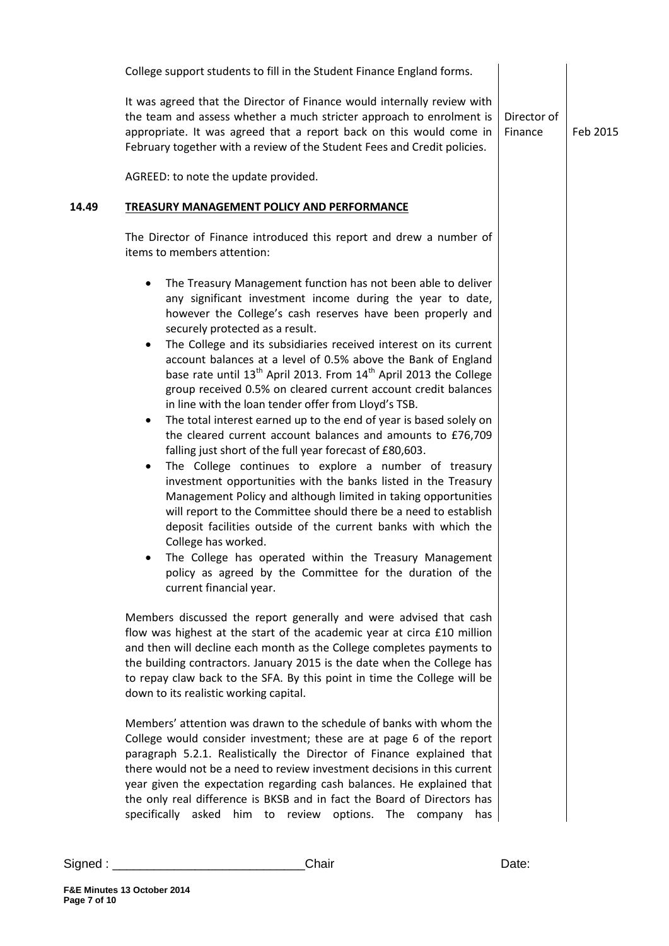|       | College support students to fill in the Student Finance England forms.                                                                                                                                                                                                                                                                                                                                                                                                                                                                                                                                                                                                                                                                                                                                                                                                                                                                                                                                                                                                                                                                                                                                                                                                                                                                                                                                                                                                                                                                                                                                                                                                                                                                                                                                                                                                                                                                                                                                                                                                                                                                                                                                                                                                                                        |                        |          |
|-------|---------------------------------------------------------------------------------------------------------------------------------------------------------------------------------------------------------------------------------------------------------------------------------------------------------------------------------------------------------------------------------------------------------------------------------------------------------------------------------------------------------------------------------------------------------------------------------------------------------------------------------------------------------------------------------------------------------------------------------------------------------------------------------------------------------------------------------------------------------------------------------------------------------------------------------------------------------------------------------------------------------------------------------------------------------------------------------------------------------------------------------------------------------------------------------------------------------------------------------------------------------------------------------------------------------------------------------------------------------------------------------------------------------------------------------------------------------------------------------------------------------------------------------------------------------------------------------------------------------------------------------------------------------------------------------------------------------------------------------------------------------------------------------------------------------------------------------------------------------------------------------------------------------------------------------------------------------------------------------------------------------------------------------------------------------------------------------------------------------------------------------------------------------------------------------------------------------------------------------------------------------------------------------------------------------------|------------------------|----------|
|       | It was agreed that the Director of Finance would internally review with<br>the team and assess whether a much stricter approach to enrolment is<br>appropriate. It was agreed that a report back on this would come in<br>February together with a review of the Student Fees and Credit policies.                                                                                                                                                                                                                                                                                                                                                                                                                                                                                                                                                                                                                                                                                                                                                                                                                                                                                                                                                                                                                                                                                                                                                                                                                                                                                                                                                                                                                                                                                                                                                                                                                                                                                                                                                                                                                                                                                                                                                                                                            | Director of<br>Finance | Feb 2015 |
|       | AGREED: to note the update provided.                                                                                                                                                                                                                                                                                                                                                                                                                                                                                                                                                                                                                                                                                                                                                                                                                                                                                                                                                                                                                                                                                                                                                                                                                                                                                                                                                                                                                                                                                                                                                                                                                                                                                                                                                                                                                                                                                                                                                                                                                                                                                                                                                                                                                                                                          |                        |          |
| 14.49 | TREASURY MANAGEMENT POLICY AND PERFORMANCE                                                                                                                                                                                                                                                                                                                                                                                                                                                                                                                                                                                                                                                                                                                                                                                                                                                                                                                                                                                                                                                                                                                                                                                                                                                                                                                                                                                                                                                                                                                                                                                                                                                                                                                                                                                                                                                                                                                                                                                                                                                                                                                                                                                                                                                                    |                        |          |
|       | The Director of Finance introduced this report and drew a number of<br>items to members attention:                                                                                                                                                                                                                                                                                                                                                                                                                                                                                                                                                                                                                                                                                                                                                                                                                                                                                                                                                                                                                                                                                                                                                                                                                                                                                                                                                                                                                                                                                                                                                                                                                                                                                                                                                                                                                                                                                                                                                                                                                                                                                                                                                                                                            |                        |          |
|       | The Treasury Management function has not been able to deliver<br>$\bullet$<br>any significant investment income during the year to date,<br>however the College's cash reserves have been properly and<br>securely protected as a result.<br>The College and its subsidiaries received interest on its current<br>$\bullet$<br>account balances at a level of 0.5% above the Bank of England<br>base rate until 13 <sup>th</sup> April 2013. From 14 <sup>th</sup> April 2013 the College<br>group received 0.5% on cleared current account credit balances<br>in line with the loan tender offer from Lloyd's TSB.<br>The total interest earned up to the end of year is based solely on<br>$\bullet$<br>the cleared current account balances and amounts to £76,709<br>falling just short of the full year forecast of £80,603.<br>The College continues to explore a number of treasury<br>$\bullet$<br>investment opportunities with the banks listed in the Treasury<br>Management Policy and although limited in taking opportunities<br>will report to the Committee should there be a need to establish<br>deposit facilities outside of the current banks with which the<br>College has worked.<br>The College has operated within the Treasury Management<br>policy as agreed by the Committee for the duration of the<br>current financial year.<br>Members discussed the report generally and were advised that cash<br>flow was highest at the start of the academic year at circa £10 million<br>and then will decline each month as the College completes payments to<br>the building contractors. January 2015 is the date when the College has<br>to repay claw back to the SFA. By this point in time the College will be<br>down to its realistic working capital.<br>Members' attention was drawn to the schedule of banks with whom the<br>College would consider investment; these are at page 6 of the report<br>paragraph 5.2.1. Realistically the Director of Finance explained that<br>there would not be a need to review investment decisions in this current<br>year given the expectation regarding cash balances. He explained that<br>the only real difference is BKSB and in fact the Board of Directors has<br>specifically asked him to review options. The company<br>has |                        |          |
|       |                                                                                                                                                                                                                                                                                                                                                                                                                                                                                                                                                                                                                                                                                                                                                                                                                                                                                                                                                                                                                                                                                                                                                                                                                                                                                                                                                                                                                                                                                                                                                                                                                                                                                                                                                                                                                                                                                                                                                                                                                                                                                                                                                                                                                                                                                                               |                        |          |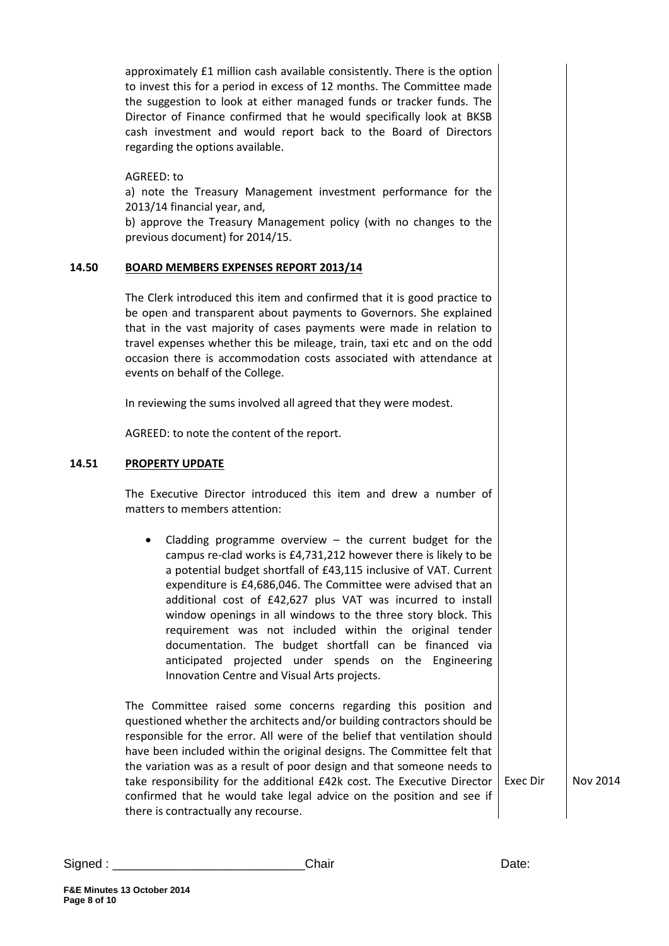|       | approximately £1 million cash available consistently. There is the option<br>to invest this for a period in excess of 12 months. The Committee made<br>the suggestion to look at either managed funds or tracker funds. The<br>Director of Finance confirmed that he would specifically look at BKSB<br>cash investment and would report back to the Board of Directors<br>regarding the options available.                                                                                                                                                                                                                        |          |   |
|-------|------------------------------------------------------------------------------------------------------------------------------------------------------------------------------------------------------------------------------------------------------------------------------------------------------------------------------------------------------------------------------------------------------------------------------------------------------------------------------------------------------------------------------------------------------------------------------------------------------------------------------------|----------|---|
|       | AGREED: to<br>a) note the Treasury Management investment performance for the<br>2013/14 financial year, and,<br>b) approve the Treasury Management policy (with no changes to the<br>previous document) for 2014/15.                                                                                                                                                                                                                                                                                                                                                                                                               |          |   |
| 14.50 | <b>BOARD MEMBERS EXPENSES REPORT 2013/14</b>                                                                                                                                                                                                                                                                                                                                                                                                                                                                                                                                                                                       |          |   |
|       | The Clerk introduced this item and confirmed that it is good practice to<br>be open and transparent about payments to Governors. She explained<br>that in the vast majority of cases payments were made in relation to<br>travel expenses whether this be mileage, train, taxi etc and on the odd<br>occasion there is accommodation costs associated with attendance at<br>events on behalf of the College.                                                                                                                                                                                                                       |          |   |
|       | In reviewing the sums involved all agreed that they were modest.                                                                                                                                                                                                                                                                                                                                                                                                                                                                                                                                                                   |          |   |
|       | AGREED: to note the content of the report.                                                                                                                                                                                                                                                                                                                                                                                                                                                                                                                                                                                         |          |   |
| 14.51 | <b>PROPERTY UPDATE</b>                                                                                                                                                                                                                                                                                                                                                                                                                                                                                                                                                                                                             |          |   |
|       | The Executive Director introduced this item and drew a number of<br>matters to members attention:                                                                                                                                                                                                                                                                                                                                                                                                                                                                                                                                  |          |   |
|       | Cladding programme overview $-$ the current budget for the<br>campus re-clad works is £4,731,212 however there is likely to be<br>a potential budget shortfall of £43,115 inclusive of VAT. Current<br>expenditure is £4,686,046. The Committee were advised that an<br>additional cost of £42,627 plus VAT was incurred to install<br>window openings in all windows to the three story block. This<br>requirement was not included within the original tender<br>documentation. The budget shortfall can be financed via<br>anticipated projected under spends on the Engineering<br>Innovation Centre and Visual Arts projects. |          |   |
|       | The Committee raised some concerns regarding this position and<br>questioned whether the architects and/or building contractors should be<br>responsible for the error. All were of the belief that ventilation should<br>have been included within the original designs. The Committee felt that<br>the variation was as a result of poor design and that someone needs to<br>take responsibility for the additional £42k cost. The Executive Director<br>confirmed that he would take legal advice on the position and see if<br>there is contractually any recourse.                                                            | Exec Dir | N |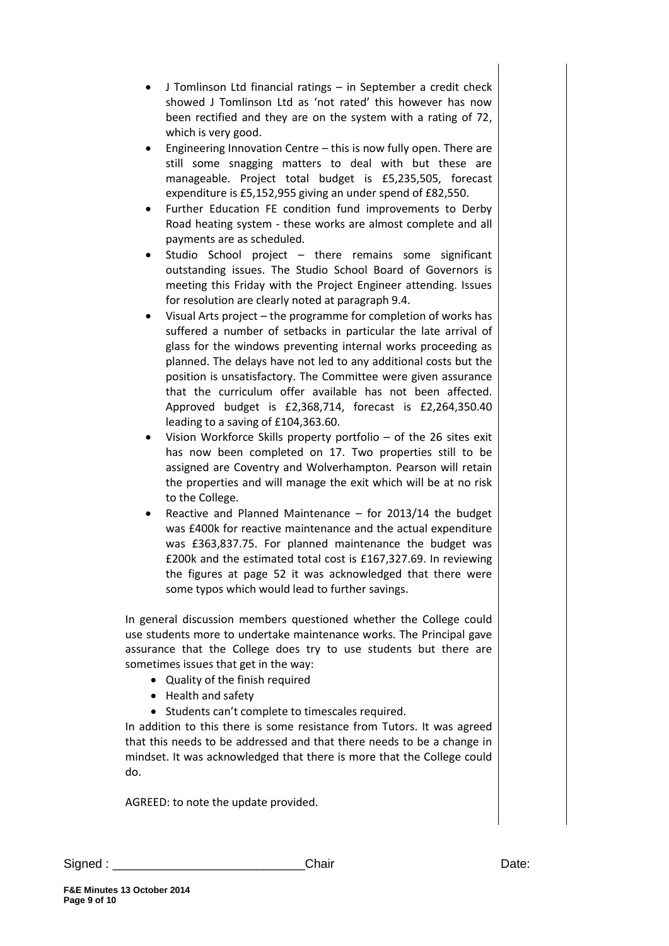- J Tomlinson Ltd financial ratings in September a credit check showed J Tomlinson Ltd as 'not rated' this however has now been rectified and they are on the system with a rating of 72, which is very good.
- Engineering Innovation Centre this is now fully open. There are still some snagging matters to deal with but these are manageable. Project total budget is £5,235,505, forecast expenditure is £5,152,955 giving an under spend of £82,550.
- Further Education FE condition fund improvements to Derby Road heating system - these works are almost complete and all payments are as scheduled.
- Studio School project there remains some significant outstanding issues. The Studio School Board of Governors is meeting this Friday with the Project Engineer attending. Issues for resolution are clearly noted at paragraph 9.4.
- Visual Arts project the programme for completion of works has suffered a number of setbacks in particular the late arrival of glass for the windows preventing internal works proceeding as planned. The delays have not led to any additional costs but the position is unsatisfactory. The Committee were given assurance that the curriculum offer available has not been affected. Approved budget is £2,368,714, forecast is £2,264,350.40 leading to a saving of £104,363.60.
- Vision Workforce Skills property portfolio of the 26 sites exit has now been completed on 17. Two properties still to be assigned are Coventry and Wolverhampton. Pearson will retain the properties and will manage the exit which will be at no risk to the College.
- Reactive and Planned Maintenance for 2013/14 the budget was £400k for reactive maintenance and the actual expenditure was £363,837.75. For planned maintenance the budget was £200k and the estimated total cost is £167,327.69. In reviewing the figures at page 52 it was acknowledged that there were some typos which would lead to further savings.

In general discussion members questioned whether the College could use students more to undertake maintenance works. The Principal gave assurance that the College does try to use students but there are sometimes issues that get in the way:

- Quality of the finish required
- Health and safety
- Students can't complete to timescales required.

In addition to this there is some resistance from Tutors. It was agreed that this needs to be addressed and that there needs to be a change in mindset. It was acknowledged that there is more that the College could do.

AGREED: to note the update provided.